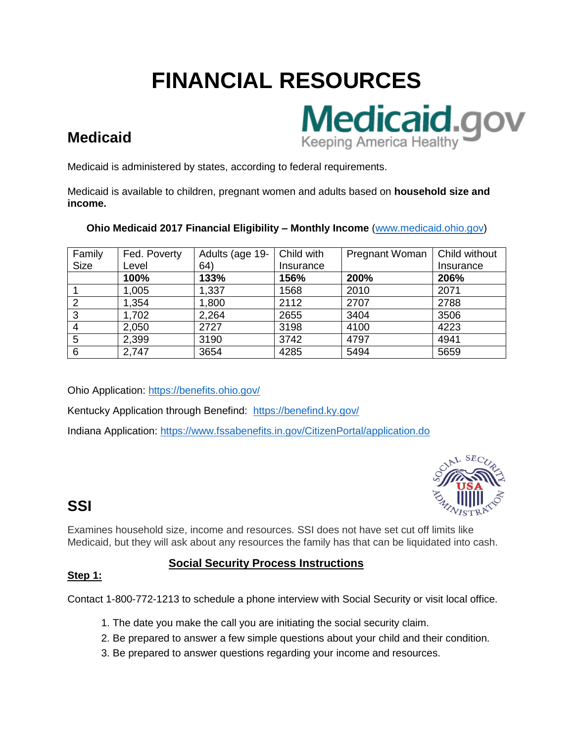# **FINANCIAL RESOURCES**



# **Medicaid**

Medicaid is administered by states, according to federal requirements.

Medicaid is available to children, pregnant women and adults based on **household size and income.** 

### **Ohio Medicaid 2017 Financial Eligibility – Monthly Income** [\(www.medicaid.ohio.gov\)](http://www.medicaid.ohio.gov/)

| Family      | Fed. Poverty | Adults (age 19- | Child with | Pregnant Woman | Child without |
|-------------|--------------|-----------------|------------|----------------|---------------|
| <b>Size</b> | Level        | 64)             | Insurance  |                | Insurance     |
|             | 100%         | 133%            | 156%       | 200%           | 206%          |
|             | 1,005        | 1,337           | 1568       | 2010           | 2071          |
|             | 1,354        | 1,800           | 2112       | 2707           | 2788          |
| 3           | 1,702        | 2,264           | 2655       | 3404           | 3506          |
|             | 2,050        | 2727            | 3198       | 4100           | 4223          |
| 5           | 2,399        | 3190            | 3742       | 4797           | 4941          |
| 6           | 2,747        | 3654            | 4285       | 5494           | 5659          |

Ohio Application:<https://benefits.ohio.gov/>

Kentucky Application through Benefind: <https://benefind.ky.gov/>

Indiana Application:<https://www.fssabenefits.in.gov/CitizenPortal/application.do>



# **SSI**

Examines household size, income and resources. SSI does not have set cut off limits like Medicaid, but they will ask about any resources the family has that can be liquidated into cash.

### **Social Security Process Instructions**

### **Step 1:**

Contact 1-800-772-1213 to schedule a phone interview with Social Security or visit local office.

- 1. The date you make the call you are initiating the social security claim.
- 2. Be prepared to answer a few simple questions about your child and their condition.
- 3. Be prepared to answer questions regarding your income and resources.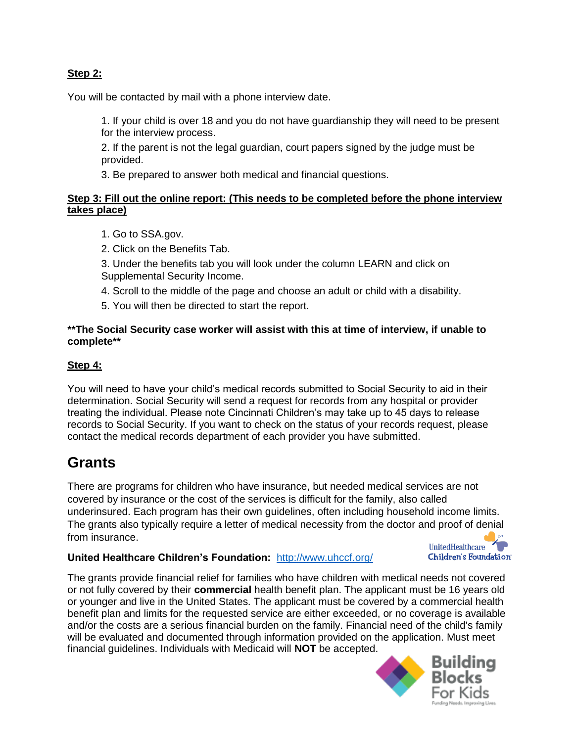### **Step 2:**

You will be contacted by mail with a phone interview date.

1. If your child is over 18 and you do not have guardianship they will need to be present for the interview process.

2. If the parent is not the legal guardian, court papers signed by the judge must be provided.

3. Be prepared to answer both medical and financial questions.

### **Step 3: Fill out the online report: (This needs to be completed before the phone interview takes place)**

- 1. Go to SSA.gov.
- 2. Click on the Benefits Tab.
- 3. Under the benefits tab you will look under the column LEARN and click on Supplemental Security Income.
- 4. Scroll to the middle of the page and choose an adult or child with a disability.
- 5. You will then be directed to start the report.

#### **\*\*The Social Security case worker will assist with this at time of interview, if unable to complete\*\***

### **Step 4:**

You will need to have your child's medical records submitted to Social Security to aid in their determination. Social Security will send a request for records from any hospital or provider treating the individual. Please note Cincinnati Children's may take up to 45 days to release records to Social Security. If you want to check on the status of your records request, please contact the medical records department of each provider you have submitted.

### **Grants**

There are programs for children who have insurance, but needed medical services are not covered by insurance or the cost of the services is difficult for the family, also called underinsured. Each program has their own guidelines, often including household income limits. The grants also typically require a letter of medical necessity from the doctor [and proof of denial](http://www.google.com/url?sa=i&rct=j&q=&esrc=s&source=images&cd=&cad=rja&uact=8&ved=0ahUKEwiqqOGd-_nVAhVDeSYKHXegBYQQjRwIBw&url=http://www.themamamaven.com/2017/05/17/unitedhealthcare-childrens-foundation-offers-a-medical-grant-program/&psig=AFQjCNHYCysP0nfhhHGIfviQQMyHDhHGuQ&ust=1504010848276644)  from insurance.

### **United Healthcare Children's Foundation:** <http://www.uhccf.org/>



The grants provide financial relief for families who have children with medical needs not covered or not fully covered by their **commercial** health benefit plan. The applicant must be 16 years old or younger and live in the United States. The applicant must be covered by a commercial health benefit plan and limits for the requested service are either exceeded, or no coverage is available and/or the costs are a serious financial burden on the family. Financial need of the child's family will be evaluated and documented through information provided on the application. Must meet financial guidelines. Individuals with Medicaid will **NOT** be accepted.

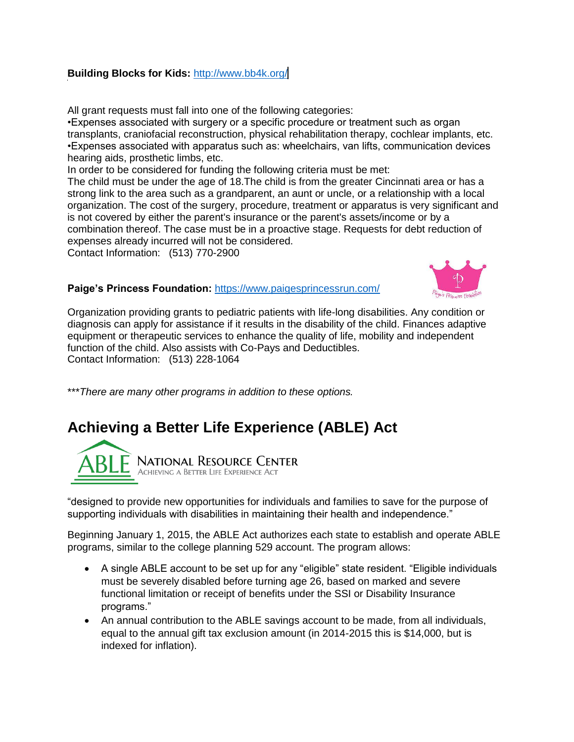### **Building Blocks for Kids: [http://www.bb4k.org/](http://www.bb4k.org/d)**

All grant requests must fall into one of the following categories:

•Expenses associated with surgery or a specific procedure or treatment such as organ transplants, craniofacial reconstruction, physical rehabilitation therapy, cochlear implants, etc. •Expenses associated with apparatus such as: wheelchairs, van lifts, communication devices hearing aids, prosthetic limbs, etc.

In order to be considered for funding the following criteria must be met:

The child must be under the age of 18.The child is from the greater Cincinnati area or has a strong link to the area such as a grandparent, an aunt or uncle, or a relationship with a local organization. The cost of the surgery, procedure, treatment or apparatus is very significant and is not covered by either the parent's insurance or the parent's assets/income or by a combination thereof. The case must be in a proactive stage. Requests for debt reduction of expenses already incurred will not be considered.

Contact Information: (513) 770-2900

**Paige's Princess Foundation:** <https://www.paigesprincessrun.com/>



Organization providing grants to pediatric patients with life-long disabilities. Any condition or diagnosis can apply for assistance if it results in the disability of the child. Finances adaptive equipment or therapeutic services to enhance the quality of life, mobility and independent function of the child. Also assists with Co-Pays and Deductibles. Contact Information: (513) 228-1064

\*\*\**There are many other programs in addition to these options.*

# **Achieving a Better Life Experience (ABLE) Act**



"designed to provide new opportunities for individuals and families to save for the purpose of supporting individuals with disabilities in maintaining their health and independence."

Beginning January 1, 2015, the ABLE Act authorizes each state to establish and operate ABLE programs, similar to the college planning 529 account. The program allows:

- A single ABLE account to be set up for any "eligible" state resident. "Eligible individuals must be severely disabled before turning age 26, based on marked and severe functional limitation or receipt of benefits under the SSI or Disability Insurance programs."
- An annual contribution to the ABLE savings account to be made, from all individuals, equal to the annual gift tax exclusion amount (in 2014-2015 this is \$14,000, but is indexed for inflation).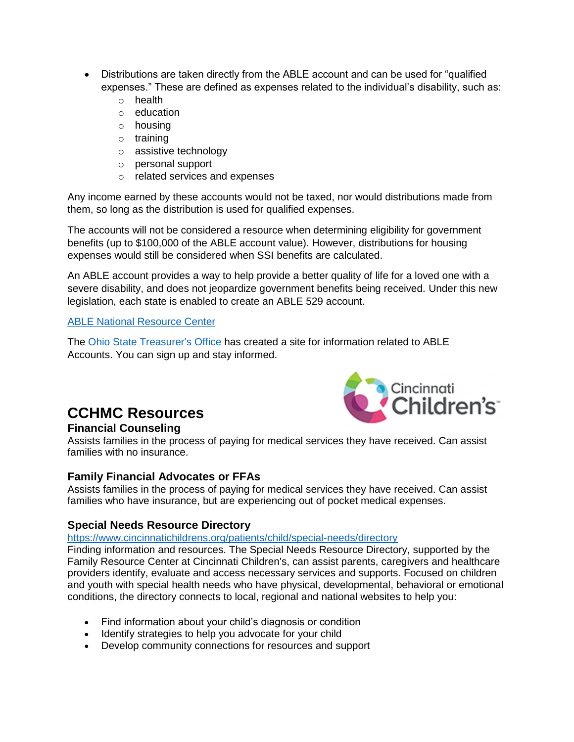- Distributions are taken directly from the ABLE account and can be used for "qualified expenses." These are defined as expenses related to the individual's disability, such as:
	- o health
	- o education
	- o housing
	- o training
	- o assistive technology
	- o personal support
	- o related services and expenses

Any income earned by these accounts would not be taxed, nor would distributions made from them, so long as the distribution is used for qualified expenses.

The accounts will not be considered a resource when determining eligibility for government benefits (up to \$100,000 of the ABLE account value). However, distributions for housing expenses would still be considered when SSI benefits are calculated.

An ABLE account provides a way to help provide a better quality of life for a loved one with a severe disability, and does not jeopardize government benefits being received. Under this new legislation, each state is enabled to create an ABLE 529 account.

### [ABLE National Resource Center](http://www.ablenrc.org/)

The [Ohio State Treasurer's Office](http://www.stableaccount.com/) has created a site for information related to ABLE Accounts. You can sign up and stay informed.



### **CCHMC Resources**

### **Financial Counseling**

Assists families in the process of paying for medical services they have received. Can assist families with no insurance.

### **Family Financial Advocates or FFAs**

Assists families in the process of paying for medical services they have received. Can assist families who have insurance, but are experiencing out of pocket medical expenses.

### **Special Needs Resource Directory**

### <https://www.cincinnatichildrens.org/patients/child/special-needs/directory>

Finding information and resources. The Special Needs Resource Directory, supported by the Family Resource Center at Cincinnati Children's, can assist parents, caregivers and healthcare providers identify, evaluate and access necessary services and supports. Focused on children and youth with special health needs who have physical, developmental, behavioral or emotional conditions, the directory connects to local, regional and national websites to help you:

- Find information about your child's diagnosis or condition
- Identify strategies to help you advocate for your child
- Develop community connections for resources and support